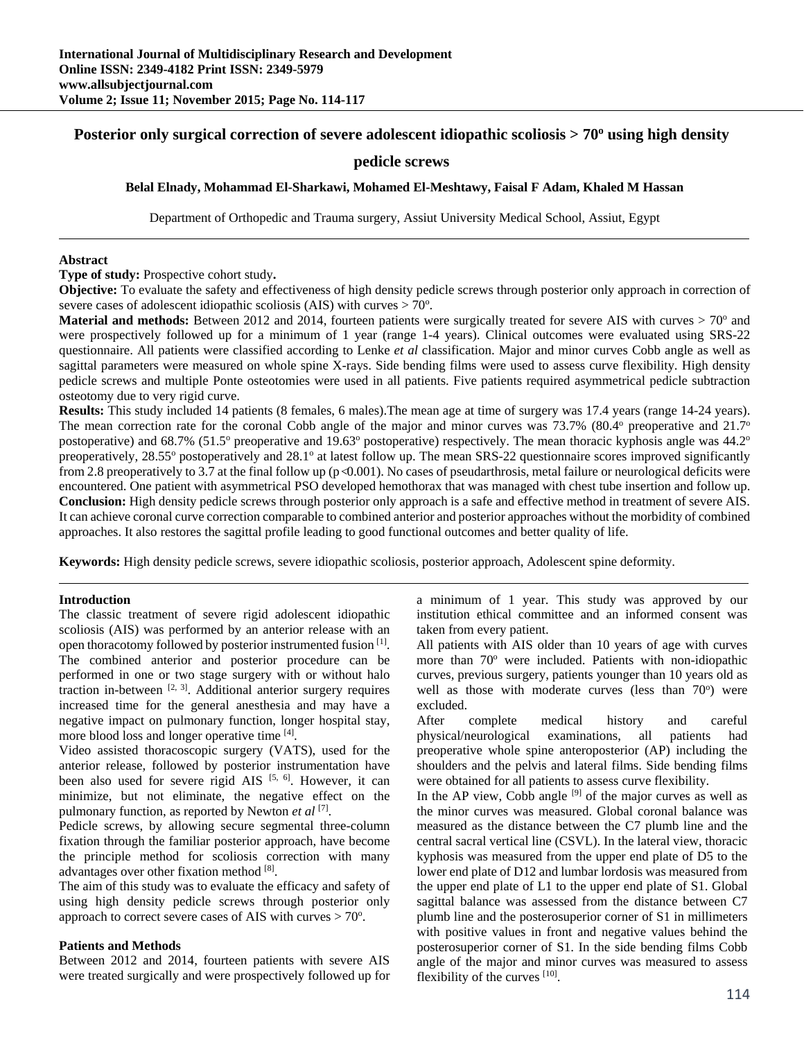# Posterior only surgical correction of severe adolescent idiopathic scoliosis > 70<sup>o</sup> using high density

## **pedicle screws**

**Belal Elnady, Mohammad El-Sharkawi, Mohamed El-Meshtawy, Faisal F Adam, Khaled M Hassan** 

Department of Orthopedic and Trauma surgery, Assiut University Medical School, Assiut, Egypt

#### **Abstract**

**Type of study:** Prospective cohort study**.** 

**Objective:** To evaluate the safety and effectiveness of high density pedicle screws through posterior only approach in correction of severe cases of adolescent idiopathic scoliosis (AIS) with curves  $> 70^\circ$ .

**Material and methods:** Between 2012 and 2014, fourteen patients were surgically treated for severe AIS with curves  $> 70^\circ$  and were prospectively followed up for a minimum of 1 year (range 1-4 years). Clinical outcomes were evaluated using SRS-22 questionnaire. All patients were classified according to Lenke *et al* classification. Major and minor curves Cobb angle as well as sagittal parameters were measured on whole spine X-rays. Side bending films were used to assess curve flexibility. High density pedicle screws and multiple Ponte osteotomies were used in all patients. Five patients required asymmetrical pedicle subtraction osteotomy due to very rigid curve.

**Results:** This study included 14 patients (8 females, 6 males).The mean age at time of surgery was 17.4 years (range 14-24 years). The mean correction rate for the coronal Cobb angle of the major and minor curves was 73.7% (80.4° preoperative and 21.7° postoperative) and 68.7% (51.5° preoperative and 19.63° postoperative) respectively. The mean thoracic kyphosis angle was 44.2° preoperatively, 28.55° postoperatively and 28.1° at latest follow up. The mean SRS-22 questionnaire scores improved significantly from 2.8 preoperatively to 3.7 at the final follow up ( $p<0.001$ ). No cases of pseudarthrosis, metal failure or neurological deficits were encountered. One patient with asymmetrical PSO developed hemothorax that was managed with chest tube insertion and follow up. **Conclusion:** High density pedicle screws through posterior only approach is a safe and effective method in treatment of severe AIS. It can achieve coronal curve correction comparable to combined anterior and posterior approaches without the morbidity of combined approaches. It also restores the sagittal profile leading to good functional outcomes and better quality of life.

**Keywords:** High density pedicle screws, severe idiopathic scoliosis, posterior approach, Adolescent spine deformity.

#### **Introduction**

The classic treatment of severe rigid adolescent idiopathic scoliosis (AIS) was performed by an anterior release with an open thoracotomy followed by posterior instrumented fusion <sup>[1]</sup>. The combined anterior and posterior procedure can be performed in one or two stage surgery with or without halo traction in-between  $[2, 3]$ . Additional anterior surgery requires increased time for the general anesthesia and may have a negative impact on pulmonary function, longer hospital stay, more blood loss and longer operative time [4].

Video assisted thoracoscopic surgery (VATS), used for the anterior release, followed by posterior instrumentation have been also used for severe rigid AIS  $[5, 6]$ . However, it can minimize, but not eliminate, the negative effect on the pulmonary function, as reported by Newton *et al* [7].

Pedicle screws, by allowing secure segmental three-column fixation through the familiar posterior approach, have become the principle method for scoliosis correction with many advantages over other fixation method [8].

The aim of this study was to evaluate the efficacy and safety of using high density pedicle screws through posterior only approach to correct severe cases of AIS with curves  $> 70^{\circ}$ .

#### **Patients and Methods**

Between 2012 and 2014, fourteen patients with severe AIS were treated surgically and were prospectively followed up for a minimum of 1 year. This study was approved by our institution ethical committee and an informed consent was taken from every patient.

All patients with AIS older than 10 years of age with curves more than 70° were included. Patients with non-idiopathic curves, previous surgery, patients younger than 10 years old as well as those with moderate curves (less than  $70^{\circ}$ ) were excluded.

After complete medical history and careful physical/neurological examinations, all patients had preoperative whole spine anteroposterior (AP) including the shoulders and the pelvis and lateral films. Side bending films were obtained for all patients to assess curve flexibility.

In the AP view, Cobb angle  $[9]$  of the major curves as well as the minor curves was measured. Global coronal balance was measured as the distance between the C7 plumb line and the central sacral vertical line (CSVL). In the lateral view, thoracic kyphosis was measured from the upper end plate of D5 to the lower end plate of D12 and lumbar lordosis was measured from the upper end plate of L1 to the upper end plate of S1. Global sagittal balance was assessed from the distance between C7 plumb line and the posterosuperior corner of S1 in millimeters with positive values in front and negative values behind the posterosuperior corner of S1. In the side bending films Cobb angle of the major and minor curves was measured to assess flexibility of the curves [10].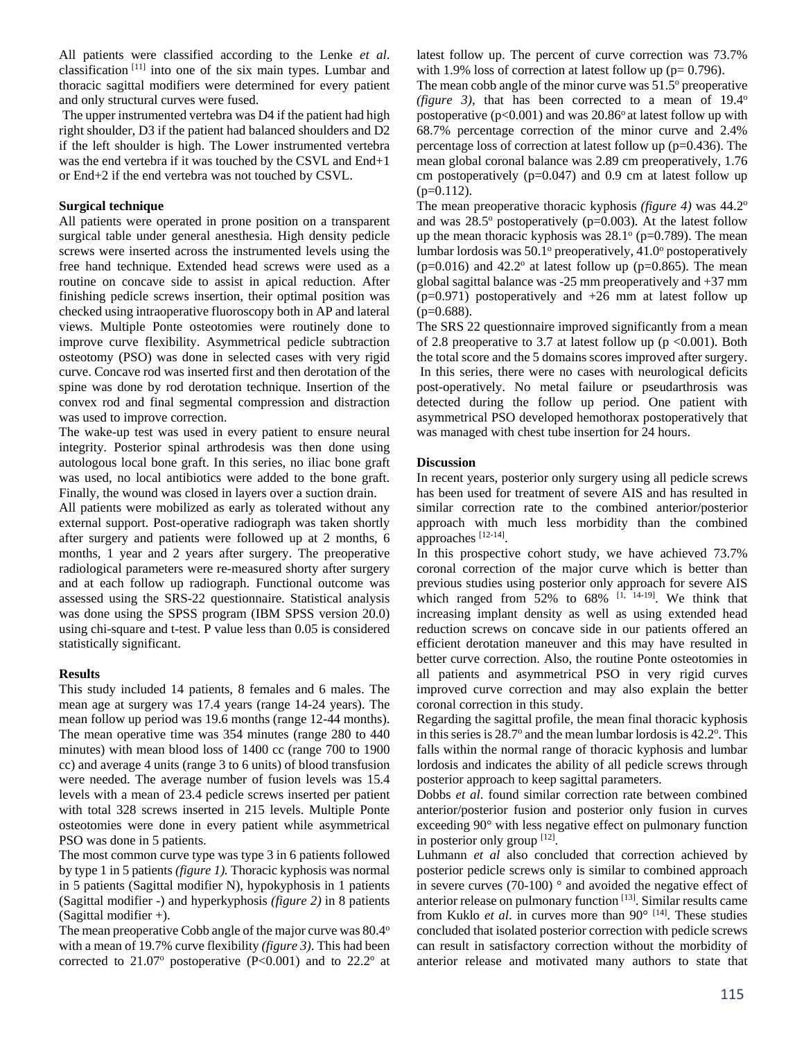All patients were classified according to the Lenke *et al*. classification [11] into one of the six main types. Lumbar and thoracic sagittal modifiers were determined for every patient and only structural curves were fused.

The upper instrumented vertebra was D4 if the patient had high right shoulder, D3 if the patient had balanced shoulders and D2 if the left shoulder is high. The Lower instrumented vertebra was the end vertebra if it was touched by the CSVL and End+1 or End+2 if the end vertebra was not touched by CSVL.

## **Surgical technique**

All patients were operated in prone position on a transparent surgical table under general anesthesia. High density pedicle screws were inserted across the instrumented levels using the free hand technique. Extended head screws were used as a routine on concave side to assist in apical reduction. After finishing pedicle screws insertion, their optimal position was checked using intraoperative fluoroscopy both in AP and lateral views. Multiple Ponte osteotomies were routinely done to improve curve flexibility. Asymmetrical pedicle subtraction osteotomy (PSO) was done in selected cases with very rigid curve. Concave rod was inserted first and then derotation of the spine was done by rod derotation technique. Insertion of the convex rod and final segmental compression and distraction was used to improve correction.

The wake-up test was used in every patient to ensure neural integrity. Posterior spinal arthrodesis was then done using autologous local bone graft. In this series, no iliac bone graft was used, no local antibiotics were added to the bone graft. Finally, the wound was closed in layers over a suction drain.

All patients were mobilized as early as tolerated without any external support. Post-operative radiograph was taken shortly after surgery and patients were followed up at 2 months, 6 months, 1 year and 2 years after surgery. The preoperative radiological parameters were re-measured shorty after surgery and at each follow up radiograph. Functional outcome was assessed using the SRS-22 questionnaire. Statistical analysis was done using the SPSS program (IBM SPSS version 20.0) using chi-square and t-test. P value less than 0.05 is considered statistically significant.

### **Results**

This study included 14 patients, 8 females and 6 males. The mean age at surgery was 17.4 years (range 14-24 years). The mean follow up period was 19.6 months (range 12-44 months). The mean operative time was 354 minutes (range 280 to 440 minutes) with mean blood loss of 1400 cc (range 700 to 1900 cc) and average 4 units (range 3 to 6 units) of blood transfusion were needed. The average number of fusion levels was 15.4 levels with a mean of 23.4 pedicle screws inserted per patient with total 328 screws inserted in 215 levels. Multiple Ponte osteotomies were done in every patient while asymmetrical PSO was done in 5 patients.

The most common curve type was type 3 in 6 patients followed by type 1 in 5 patients *(figure 1).* Thoracic kyphosis was normal in 5 patients (Sagittal modifier N), hypokyphosis in 1 patients (Sagittal modifier -) and hyperkyphosis *(figure 2)* in 8 patients (Sagittal modifier +).

The mean preoperative Cobb angle of the major curve was 80.4° with a mean of 19.7% curve flexibility *(figure 3)*. This had been corrected to  $21.07^{\circ}$  postoperative (P<0.001) and to  $22.2^{\circ}$  at latest follow up. The percent of curve correction was 73.7% with 1.9% loss of correction at latest follow up ( $p= 0.796$ ).

The mean cobb angle of the minor curve was  $51.5^{\circ}$  preoperative *(figure 3)*, that has been corrected to a mean of 19.4<sup>o</sup> postoperative ( $p<0.001$ ) and was 20.86 $\degree$  at latest follow up with 68.7% percentage correction of the minor curve and 2.4% percentage loss of correction at latest follow up (p=0.436). The mean global coronal balance was 2.89 cm preoperatively, 1.76 cm postoperatively  $(p=0.047)$  and 0.9 cm at latest follow up  $(p=0.112)$ .

The mean preoperative thoracic kyphosis *(figure 4)* was 44.2<sup>o</sup> and was  $28.5^\circ$  postoperatively (p=0.003). At the latest follow up the mean thoracic kyphosis was  $28.1^\circ$  (p=0.789). The mean lumbar lordosis was 50.1° preoperatively, 41.0° postoperatively  $(p=0.016)$  and 42.2° at latest follow up  $(p=0.865)$ . The mean global sagittal balance was -25 mm preoperatively and +37 mm (p=0.971) postoperatively and +26 mm at latest follow up  $(p=0.688)$ .

The SRS 22 questionnaire improved significantly from a mean of 2.8 preoperative to 3.7 at latest follow up ( $p \le 0.001$ ). Both the total score and the 5 domains scores improved after surgery. In this series, there were no cases with neurological deficits post-operatively. No metal failure or pseudarthrosis was detected during the follow up period. One patient with asymmetrical PSO developed hemothorax postoperatively that was managed with chest tube insertion for 24 hours.

### **Discussion**

In recent years, posterior only surgery using all pedicle screws has been used for treatment of severe AIS and has resulted in similar correction rate to the combined anterior/posterior approach with much less morbidity than the combined approaches [12-14].

In this prospective cohort study, we have achieved 73.7% coronal correction of the major curve which is better than previous studies using posterior only approach for severe AIS which ranged from  $52\%$  to  $68\%$  [1, 14-19]. We think that increasing implant density as well as using extended head reduction screws on concave side in our patients offered an efficient derotation maneuver and this may have resulted in better curve correction. Also, the routine Ponte osteotomies in all patients and asymmetrical PSO in very rigid curves improved curve correction and may also explain the better coronal correction in this study.

Regarding the sagittal profile, the mean final thoracic kyphosis in this series is 28.7° and the mean lumbar lordosis is 42.2°. This falls within the normal range of thoracic kyphosis and lumbar lordosis and indicates the ability of all pedicle screws through posterior approach to keep sagittal parameters.

Dobbs *et al*. found similar correction rate between combined anterior/posterior fusion and posterior only fusion in curves exceeding 90° with less negative effect on pulmonary function in posterior only group [12].

Luhmann *et al* also concluded that correction achieved by posterior pedicle screws only is similar to combined approach in severe curves (70-100)  $\degree$  and avoided the negative effect of anterior release on pulmonary function [13]. Similar results came from Kuklo *et al*. in curves more than 90° [14]. These studies concluded that isolated posterior correction with pedicle screws can result in satisfactory correction without the morbidity of anterior release and motivated many authors to state that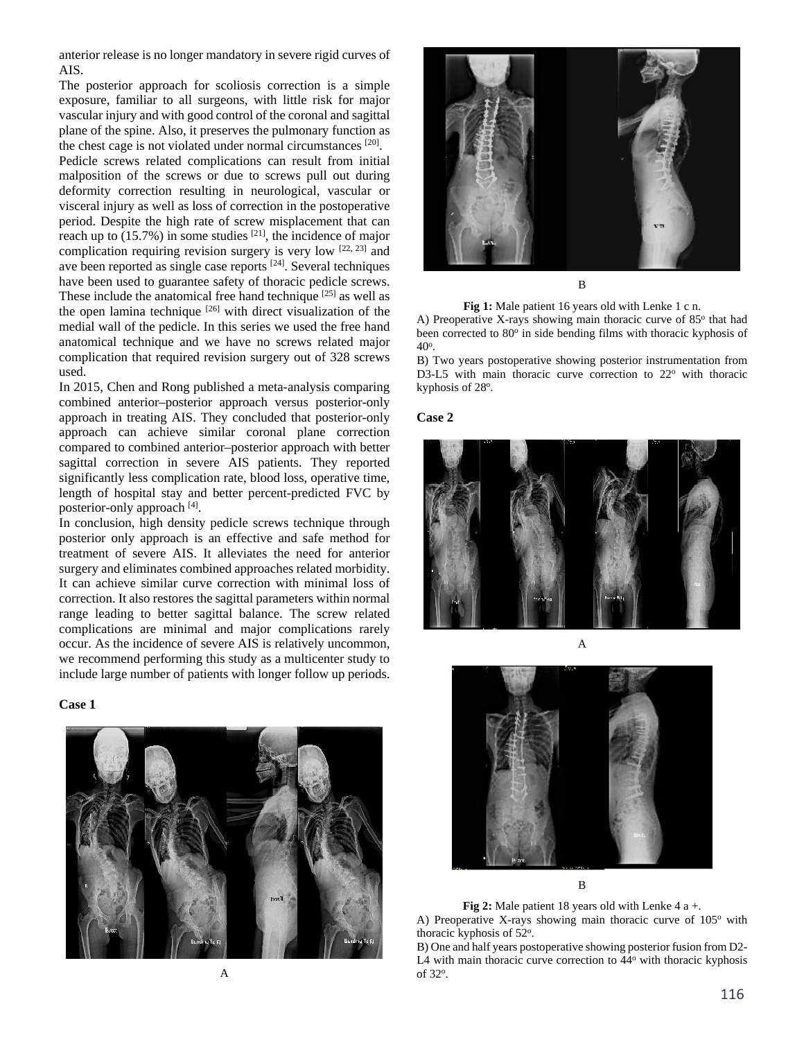anterior release is no longer mandatory in severe rigid curves of AIS.

The posterior approach for scoliosis correction is a simple exposure, familiar to all surgeons, with little risk for major vascular injury and with good control of the coronal and sagittal plane of the spine. Also, it preserves the pulmonary function as the chest cage is not violated under normal circumstances [20].

Pedicle screws related complications can result from initial malposition of the screws or due to screws pull out during deformity correction resulting in neurological, vascular or visceral injury as well as loss of correction in the postoperative period. Despite the high rate of screw misplacement that can reach up to (15.7%) in some studies [21], the incidence of major complication requiring revision surgery is very low  $[22, 23]$  and ave been reported as single case reports [24]. Several techniques have been used to guarantee safety of thoracic pedicle screws. These include the anatomical free hand technique <sup>[25]</sup> as well as the open lamina technique  $[26]$  with direct visualization of the medial wall of the pedicle. In this series we used the free hand anatomical technique and we have no screws related major complication that required revision surgery out of 328 screws used.

In 2015, Chen and Rong published a meta-analysis comparing combined anterior–posterior approach versus posterior-only approach in treating AIS. They concluded that posterior-only approach can achieve similar coronal plane correction compared to combined anterior–posterior approach with better sagittal correction in severe AIS patients. They reported significantly less complication rate, blood loss, operative time, length of hospital stay and better percent-predicted FVC by posterior-only approach [4].

In conclusion, high density pedicle screws technique through posterior only approach is an effective and safe method for treatment of severe AIS. It alleviates the need for anterior surgery and eliminates combined approaches related morbidity. It can achieve similar curve correction with minimal loss of correction. It also restores the sagittal parameters within normal range leading to better sagittal balance. The screw related complications are minimal and major complications rarely occur. As the incidence of severe AIS is relatively uncommon, we recommend performing this study as a multicenter study to include large number of patients with longer follow up periods.







**Fig 1:** Male patient 16 years old with Lenke 1 c n.

A) Preoperative X-rays showing main thoracic curve of  $85^\circ$  that had been corrected to 80<sup>o</sup> in side bending films with thoracic kyphosis of 40o.

B) Two years postoperative showing posterior instrumentation from D3-L5 with main thoracic curve correction to  $22^{\circ}$  with thoracic kyphosis of 28°.







B

**Fig 2:** Male patient 18 years old with Lenke 4 a +.

A) Preoperative X-rays showing main thoracic curve of  $105^{\circ}$  with thoracic kyphosis of 52°.

B) One and half years postoperative showing posterior fusion from D2- L4 with main thoracic curve correction to 44<sup>o</sup> with thoracic kyphosis of 32°.